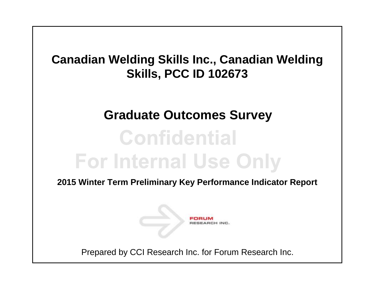## **Canadian Welding Skills Inc., Canadian Welding Skills, PCC ID 102673**

## **Graduate Outcomes Survey**

# **Confidential For Internal Use Only**

**2015 Winter Term Preliminary Key Performance Indicator Report**



Prepared by CCI Research Inc. for Forum Research Inc.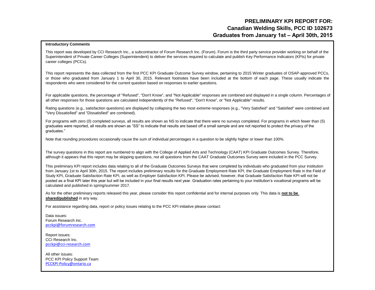### **PRELIMINARY KPI REPORT FOR: Graduates from January 1st – April 30th, 2015 Canadian Welding Skills, PCC ID 102673**

#### **Introductory Comments**

This report was developed by CCI Research Inc., a subcontractor of Forum Research Inc. (Forum). Forum is the third party service provider working on behalf of the Superintendent of Private Career Colleges (Superintendent) to deliver the services required to calculate and publish Key Performance Indicators (KPIs) for private career colleges (PCCs).

This report represents the data collected from the first PCC KPI Graduate Outcome Survey window, pertaining to 2015 Winter graduates of OSAP-approved PCCs, or those who graduated from January 1 to April 30, 2015. Relevant footnotes have been included at the bottom of each page. These usually indicate the respondents who were considered for the current question based on responses to earlier questions.

For applicable questions, the percentage of "Refused", "Don't Know", and "Not Applicable" responses are combined and displayed in a single column. Percentages of all other responses for those questions are calculated independently of the "Refused", "Don't Know", or "Not Applicable" results.

Rating questions (e.g., satisfaction questions) are displayed by collapsing the two most extreme responses (e.g., "Very Satisfied" and "Satisfied" were combined and "Very Dissatisfied" and "Dissatisfied" are combined).

For programs with zero (0) completed surveys, all results are shown as NS to indicate that there were no surveys completed. For programs in which fewer than (5) graduates were reported, all results are shown as "SS" to indicate that results are based off a small sample and are not reported to protect the privacy of the graduates."

Note that rounding procedures occasionally cause the sum of individual percentages in a question to be slightly higher or lower than 100%.

The survey questions in this report are numbered to align with the College of Applied Arts and Technology (CAAT) KPI Graduate Outcomes Survey. Therefore, although it appears that this report may be skipping questions, not all questions from the CAAT Graduate Outcomes Survey were included in the PCC Survey.

This preliminary KPI report includes data relating to all of the Graduate Outcomes Surveys that were completed by individuals who graduated from your institution from January 1st to April 30th, 2015. The report includes preliminary results for the Graduate Employment Rate KPI, the Graduate Employment Rate in the Field of Study KPI, Graduate Satisfaction Rate KPI, as well as Employer Satisfaction KPI. Please be advised, however, that Graduate Satisfaction Rate KPI will not be posted as a final KPI later this year but will be included in your final results next year. Graduation rates pertaining to your institution's vocational programs will be calculated and published in spring/summer 2017.

As for the other preliminary reports released this year, please consider this report confidential and for internal purposes only. This data is **not to be shared/published** in any way.

For assistance regarding data, report or policy issues relating to the PCC KPI initiative please contact:

Data issues: Forum Research Inc. [pcckpi@forumresearch.com](mailto:pcckpi@forumresearch.com)

Report issues: CCI Research Inc. [pcckpi@cci-research.com](mailto:pcckpi@cci-research.com)

All other issues: PCC KPI Policy Support Team [PCCKPI-Policy@ontario.ca](mailto:PCCKPI-Policy@ontario.ca)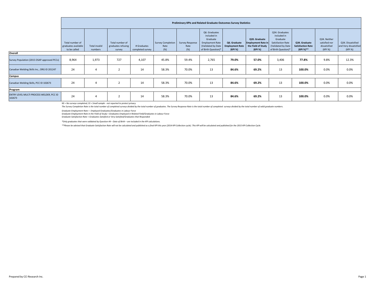|                                                    |                                                        | Preliminary KPIs and Related Graduate Outcomes Survey Statistics |                                                 |                                 |                                         |                                   |                                                                                                                 |                                                   |                                                                             |                                                                                                             |                                                        |                                                          |                                                       |
|----------------------------------------------------|--------------------------------------------------------|------------------------------------------------------------------|-------------------------------------------------|---------------------------------|-----------------------------------------|-----------------------------------|-----------------------------------------------------------------------------------------------------------------|---------------------------------------------------|-----------------------------------------------------------------------------|-------------------------------------------------------------------------------------------------------------|--------------------------------------------------------|----------------------------------------------------------|-------------------------------------------------------|
|                                                    | Total number of<br>graduates available<br>to be called | <b>Total invalid</b><br>numbers                                  | Total number of<br>graduates refusing<br>survey | # Graduates<br>completed survey | <b>Survey Completion</b><br>Rate<br>(%) | Survey Response<br>Rate<br>$(\%)$ | Q6. Graduates<br>included in<br>Graduate<br><b>Employment Rate</b><br>(Validated by Date<br>of Birth Question)* | Q6. Graduate<br><b>Employment Rate</b><br>(KPI %) | Q20. Graduate<br><b>Employment Rate in</b><br>the Field of Study<br>(KPI %) | Q34. Graduates<br>included in<br>Graduate<br>Satisfaction Rate<br>(Validated by Date<br>of Birth Question)* | Q34. Graduate<br><b>Satisfaction Rate</b><br>(KPI %)** | Q34. Neither<br>satisfied nor<br>dissatisfied<br>(KPI %) | Q34. Dissatisfied<br>and Very dissatisfied<br>(KPI %) |
| Overall                                            |                                                        |                                                                  |                                                 |                                 |                                         |                                   |                                                                                                                 |                                                   |                                                                             |                                                                                                             |                                                        |                                                          |                                                       |
| Survey Population (2015 OSAP-approved PCCs)        | 8,964                                                  | 1,973                                                            | 727                                             | 4,107                           | 45.8%                                   | 59.4%                             | 2,765                                                                                                           | 79.0%                                             | 57.0%                                                                       | 3,406                                                                                                       | 77.8%                                                  | 9.8%                                                     | 12.3%                                                 |
| Canadian Welding Skills Inc., ORG ID 201247        | 24                                                     | 4                                                                | $\overline{2}$                                  | 14                              | 58.3%                                   | 70.0%                             | 13                                                                                                              | 84.6%                                             | 69.2%                                                                       | 13                                                                                                          | 100.0%                                                 | 0.0%                                                     | 0.0%                                                  |
| Campus                                             |                                                        |                                                                  |                                                 |                                 |                                         |                                   |                                                                                                                 |                                                   |                                                                             |                                                                                                             |                                                        |                                                          |                                                       |
| Canadian Welding Skills, PCC ID 102673             | 24                                                     | $\overline{4}$                                                   |                                                 | 14                              | 58.3%                                   | 70.0%                             | 13                                                                                                              | 84.6%                                             | 69.2%                                                                       | 13                                                                                                          | 100.0%                                                 | 0.0%                                                     | 0.0%                                                  |
| Program                                            |                                                        |                                                                  |                                                 |                                 |                                         |                                   |                                                                                                                 |                                                   |                                                                             |                                                                                                             |                                                        |                                                          |                                                       |
| ENTRY LEVEL MULTI PROCESS WELDER, PCC ID<br>102673 | 24                                                     | 4                                                                |                                                 | 14                              | 58.3%                                   | 70.0%                             | 13                                                                                                              | 84.6%                                             | 69.2%                                                                       | 13                                                                                                          | 100.0%                                                 | 0.0%                                                     | 0.0%                                                  |

The Survey Completion Rate is the total number of completed surveys divided by the total number of araduates. The Survey Response Rate is the total number of completed surveys divided by the total number of valid araduate

*Graduate Employment Rate = Employed Graduates/Graduates in Labour Force*

*Graduate Employment Rate in the Field of Study = Graduates Employed in Related Field/Graduates in Labour Force*

*Graduate Satisfaction Rate = Graduates Satisfied or Very Satisfied/Graduates that Responded*

*\*Only graduates that were validated by Question 44 – Date of Birth – are included in the KPI calculations.*

\*\*Please be advised that Graduate Satisfaction Rate will not be calculated and published as a final KPI this year (2014 KPI Collection cycle). This KPI will be calculated and published for the 2015 KPI Collection Cycle.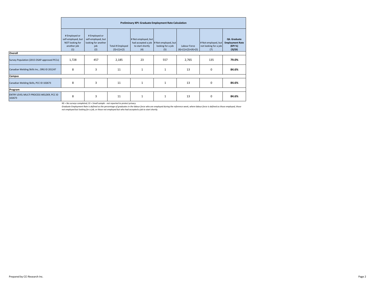|                                                    |                                                                              | Preliminary KPI: Graduate Employment Rate Calculation                    |                                   |                                                                      |                                                 |                                       |                                                     |                                                              |  |  |  |  |
|----------------------------------------------------|------------------------------------------------------------------------------|--------------------------------------------------------------------------|-----------------------------------|----------------------------------------------------------------------|-------------------------------------------------|---------------------------------------|-----------------------------------------------------|--------------------------------------------------------------|--|--|--|--|
|                                                    | # Employed or<br>self-employed, but<br>NOT looking for<br>another job<br>(1) | # Employed or<br>self-employed, but<br>looking for another<br>job<br>(2) | Total # Employed<br>$(3)=(1)+(2)$ | # Not employed, but<br>had accepted a job<br>to start shortly<br>(4) | # Not employed, but<br>looking for a job<br>(5) | Labour Force<br>$(6)=(1)+(2)+(4)+(5)$ | # Not employed, but<br>not looking for a job<br>(7) | Q6. Graduate<br><b>Employment Rate</b><br>(KPI %)<br>(3)/(6) |  |  |  |  |
| Overall                                            |                                                                              |                                                                          |                                   |                                                                      |                                                 |                                       |                                                     |                                                              |  |  |  |  |
| Survey Population (2015 OSAP-approved PCCs)        | 1,728                                                                        | 457                                                                      | 2,185                             | 23                                                                   | 557                                             | 2,765                                 | 135                                                 | 79.0%                                                        |  |  |  |  |
| Canadian Welding Skills Inc., ORG ID 201247        | 8                                                                            | $\overline{3}$                                                           | 11                                | $\mathbf{1}$                                                         | $\mathbf{1}$                                    | 13                                    | $\mathbf 0$                                         | 84.6%                                                        |  |  |  |  |
| Campus                                             |                                                                              |                                                                          |                                   |                                                                      |                                                 |                                       |                                                     |                                                              |  |  |  |  |
| Canadian Welding Skills, PCC ID 102673             | 8                                                                            | $\overline{3}$                                                           | 11                                | $\mathbf{1}$                                                         | $\mathbf{1}$                                    | 13                                    | $\mathbf 0$                                         | 84.6%                                                        |  |  |  |  |
| Program                                            |                                                                              |                                                                          |                                   |                                                                      |                                                 |                                       |                                                     |                                                              |  |  |  |  |
| ENTRY LEVEL MULTI PROCESS WELDER, PCC ID<br>102673 | 8                                                                            | $\overline{3}$                                                           | 11                                |                                                                      | $\mathbf{1}$                                    | 13                                    | $\mathbf 0$                                         | 84.6%                                                        |  |  |  |  |

Graduate Employment Rate is defined as the percentage of graduates in the labour force who are employed during the reference week, where labour force is defined as those employed, those<br>not employed but looking for a job,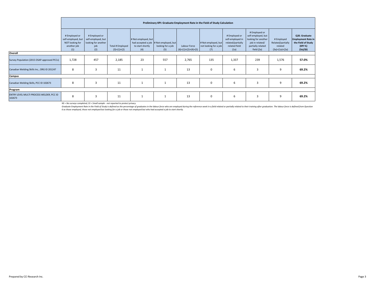|                                                    |                                                                              | Preliminary KPI: Graduate Employment Rate in the Field of Study Calculation |                                   |                                                |                                                                    |                                       |                                                     |                                                                                 |                                                                                                                  |                                                                |                                                                                         |  |  |
|----------------------------------------------------|------------------------------------------------------------------------------|-----------------------------------------------------------------------------|-----------------------------------|------------------------------------------------|--------------------------------------------------------------------|---------------------------------------|-----------------------------------------------------|---------------------------------------------------------------------------------|------------------------------------------------------------------------------------------------------------------|----------------------------------------------------------------|-----------------------------------------------------------------------------------------|--|--|
|                                                    | # Employed or<br>self-employed, but<br>NOT looking for<br>another job<br>(1) | # Employed or<br>self-employed, but<br>looking for another<br>job<br>(2)    | Total # Employed<br>$(3)=(1)+(2)$ | # Not employed, but<br>to start shortly<br>(4) | had accepted a job # Not employed, but<br>looking for a job<br>(5) | Labour Force<br>$(6)=(1)+(2)+(4)+(5)$ | # Not employed, but<br>not looking for a job<br>(7) | # Employed or<br>self-employed in<br>related/partially<br>related field<br>(1a) | # Employed or<br>self-employed, but<br>looking for another<br>job in related/<br>partially related<br>field (2a) | # Employed<br>Related/partially<br>related<br>$(3a)=(1a)+(2a)$ | Q20. Graduate<br><b>Employment Rate in</b><br>the Field of Study<br>(KPI %)<br>(3a)/(6) |  |  |
| Overall                                            |                                                                              |                                                                             |                                   |                                                |                                                                    |                                       |                                                     |                                                                                 |                                                                                                                  |                                                                |                                                                                         |  |  |
| Survey Population (2015 OSAP-approved PCCs)        | 1,728                                                                        | 457                                                                         | 2,185                             | 23                                             | 557                                                                | 2,765                                 | 135                                                 | 1,337                                                                           | 239                                                                                                              | 1,576                                                          | 57.0%                                                                                   |  |  |
| Canadian Welding Skills Inc., ORG ID 201247        | 8                                                                            | 3                                                                           | 11                                |                                                |                                                                    | 13                                    | 0                                                   | 6                                                                               | 3                                                                                                                | 9                                                              | 69.2%                                                                                   |  |  |
| Campus                                             |                                                                              |                                                                             |                                   |                                                |                                                                    |                                       |                                                     |                                                                                 |                                                                                                                  |                                                                |                                                                                         |  |  |
| Canadian Welding Skills, PCC ID 102673             | 8                                                                            | 3                                                                           | 11                                |                                                |                                                                    | 13                                    | 0                                                   | 6                                                                               | 3                                                                                                                | 9                                                              | 69.2%                                                                                   |  |  |
| Program                                            |                                                                              |                                                                             |                                   |                                                |                                                                    |                                       |                                                     |                                                                                 |                                                                                                                  |                                                                |                                                                                         |  |  |
| ENTRY LEVEL MULTI PROCESS WELDER, PCC ID<br>102673 | 8                                                                            | 3                                                                           | 11                                |                                                |                                                                    | 13                                    | 0                                                   | 6                                                                               | 3                                                                                                                | q                                                              | 69.2%                                                                                   |  |  |

Graduate Employment Rate in the Field of Study is defined as the percentage of graduates in the labour force who are employed during the reference week in a field related or partially related to their training after gradua *6 as those employed, those not employed but looking for a job or those not employed but who had accepted a job to start shortly.*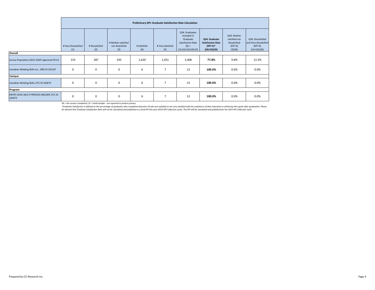|                                                    |                            | Preliminary KPI: Graduate Satisfaction Rate Calculation |                                               |                    |                         |                                                                                                    |                                                                          |                                                                     |                                                                          |  |  |  |  |
|----------------------------------------------------|----------------------------|---------------------------------------------------------|-----------------------------------------------|--------------------|-------------------------|----------------------------------------------------------------------------------------------------|--------------------------------------------------------------------------|---------------------------------------------------------------------|--------------------------------------------------------------------------|--|--|--|--|
|                                                    | # Very Dissatisfied<br>(1) | # Dissatisfied<br>(2)                                   | # Neither satisfied<br>nor disatisfied<br>(3) | # Satisfied<br>(4) | # Very Satisfied<br>(5) | Q34. Graduates<br>included in<br>Graduate<br>Satisfaction Rate<br>$(6) =$<br>$(1)+(2)+(3)+(4)+(5)$ | Q34. Graduate<br><b>Satisfaction Rate</b><br>(KPI %)*<br>$((4)+(5))/(6)$ | Q34. Neither<br>satisfied nor<br>dissatisfied<br>(KPI %)<br>(3)/(6) | Q34. Dissatisfied<br>and Very dissatisfied<br>(KPI %)<br>$((1)+(2))/(6)$ |  |  |  |  |
| Overall                                            |                            |                                                         |                                               |                    |                         |                                                                                                    |                                                                          |                                                                     |                                                                          |  |  |  |  |
| Survey Population (2015 OSAP-approved PCCs)        | 133                        | 287                                                     | 335                                           | 1,620              | 1,031                   | 3,406                                                                                              | 77.8%                                                                    | 9.8%                                                                | 12.3%                                                                    |  |  |  |  |
| Canadian Welding Skills Inc., ORG ID 201247        | $\mathbf 0$                | 0                                                       | $\mathbf 0$                                   | 6                  | $\overline{7}$          | 13                                                                                                 | 100.0%                                                                   | 0.0%                                                                | 0.0%                                                                     |  |  |  |  |
| Campus                                             |                            |                                                         |                                               |                    |                         |                                                                                                    |                                                                          |                                                                     |                                                                          |  |  |  |  |
| Canadian Welding Skills, PCC ID 102673             | $\mathbf 0$                | 0                                                       | $\mathbf 0$                                   | 6                  | $\overline{7}$          | 13                                                                                                 | 100.0%                                                                   | 0.0%                                                                | 0.0%                                                                     |  |  |  |  |
| Program                                            |                            |                                                         |                                               |                    |                         |                                                                                                    |                                                                          |                                                                     |                                                                          |  |  |  |  |
| ENTRY LEVEL MULTI PROCESS WELDER, PCC ID<br>102673 | $\mathbf 0$                | 0                                                       | $\mathbf 0$                                   | 6                  | $\overline{7}$          | 13                                                                                                 | 100.0%                                                                   | 0.0%                                                                | 0.0%                                                                     |  |  |  |  |

\*Graduate Satisfaction is defined as the percentage of graduates who completed Question 34 who are satisfied or are very satisfied with the usefulness of their education in achieving their goals after graduation. Please<br>be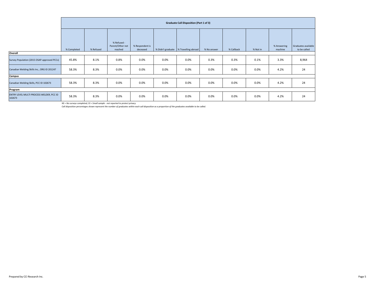|                                                    | <b>Graduate Call Disposition (Part 1 of 3)</b> |           |                                            |                             |      |                                       |             |            |          |                        |                                     |
|----------------------------------------------------|------------------------------------------------|-----------|--------------------------------------------|-----------------------------|------|---------------------------------------|-------------|------------|----------|------------------------|-------------------------------------|
|                                                    | % Completed                                    | % Refused | % Refused -<br>Parent/Other not<br>reached | % Respondent is<br>deceased |      | % Didn't graduate % Travelling abroad | % No answer | % Callback | % Not in | % Answering<br>machine | Graduates available<br>to be called |
| Overall                                            |                                                |           |                                            |                             |      |                                       |             |            |          |                        |                                     |
| Survey Population (2015 OSAP-approved PCCs)        | 45.8%                                          | 8.1%      | 0.8%                                       | 0.0%                        | 0.0% | 0.0%                                  | 0.3%        | 0.3%       | 0.1%     | 3.3%                   | 8,964                               |
| Canadian Welding Skills Inc., ORG ID 201247        | 58.3%                                          | 8.3%      | 0.0%                                       | 0.0%                        | 0.0% | 0.0%                                  | 0.0%        | 0.0%       | 0.0%     | 4.2%                   | 24                                  |
| Campus                                             |                                                |           |                                            |                             |      |                                       |             |            |          |                        |                                     |
| Canadian Welding Skills, PCC ID 102673             | 58.3%                                          | 8.3%      | 0.0%                                       | 0.0%                        | 0.0% | 0.0%                                  | 0.0%        | 0.0%       | 0.0%     | 4.2%                   | 24                                  |
| Program                                            |                                                |           |                                            |                             |      |                                       |             |            |          |                        |                                     |
| ENTRY LEVEL MULTI PROCESS WELDER, PCC ID<br>102673 | 58.3%                                          | 8.3%      | 0.0%                                       | 0.0%                        | 0.0% | 0.0%                                  | 0.0%        | 0.0%       | 0.0%     | 4.2%                   | 24                                  |

*Call disposition percentages shown represent the number of graduates within each call disposition as a proportion of the graduates available to be called.*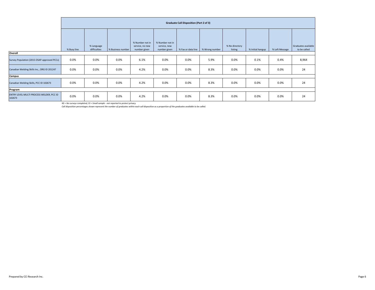|                                                    | <b>Graduate Call Disposition (Part 2 of 3)</b> |                            |                   |                                                    |                                                 |                    |                |                           |                  |                |                                     |
|----------------------------------------------------|------------------------------------------------|----------------------------|-------------------|----------------------------------------------------|-------------------------------------------------|--------------------|----------------|---------------------------|------------------|----------------|-------------------------------------|
|                                                    | % Busy line                                    | % Language<br>difficulties | % Business number | % Number not in<br>service, no new<br>number given | % Number not in<br>service, new<br>number given | % Fax or data line | % Wrong number | % No directory<br>listing | % Initial hangup | % Left Message | Graduates available<br>to be called |
| Overall                                            |                                                |                            |                   |                                                    |                                                 |                    |                |                           |                  |                |                                     |
| Survey Population (2015 OSAP-approved PCCs)        | 0.0%                                           | 0.0%                       | 0.0%              | 6.1%                                               | 0.0%                                            | 0.0%               | 5.9%           | 0.0%                      | 0.1%             | 0.4%           | 8,964                               |
| Canadian Welding Skills Inc., ORG ID 201247        | 0.0%                                           | 0.0%                       | 0.0%              | 4.2%                                               | 0.0%                                            | 0.0%               | 8.3%           | 0.0%                      | 0.0%             | 0.0%           | 24                                  |
| Campus                                             |                                                |                            |                   |                                                    |                                                 |                    |                |                           |                  |                |                                     |
| Canadian Welding Skills, PCC ID 102673             | 0.0%                                           | 0.0%                       | 0.0%              | 4.2%                                               | 0.0%                                            | 0.0%               | 8.3%           | 0.0%                      | 0.0%             | 0.0%           | 24                                  |
| Program                                            |                                                |                            |                   |                                                    |                                                 |                    |                |                           |                  |                |                                     |
| ENTRY LEVEL MULTI PROCESS WELDER, PCC ID<br>102673 | 0.0%                                           | 0.0%                       | 0.0%              | 4.2%                                               | $0.0\%$                                         | 0.0%               | 8.3%           | 0.0%                      | 0.0%             | 0.0%           | 24                                  |

*Call disposition percentages shown represent the number of graduates within each call disposition as a proportion of the graduates available to be called.*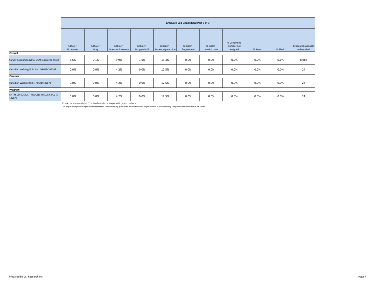|                                                    | <b>Graduate Call Disposition (Part 3 of 3)</b> |                    |                                  |                            |                                 |                         |                            |                                        |         |         |                                     |
|----------------------------------------------------|------------------------------------------------|--------------------|----------------------------------|----------------------------|---------------------------------|-------------------------|----------------------------|----------------------------------------|---------|---------|-------------------------------------|
|                                                    | % Dialer -<br>No answer                        | % Dialer -<br>Busy | % Dialer -<br>Operator intercept | % Dialer -<br>Dropped call | % Dialer -<br>Answering machine | % Dialer -<br>Fax/modem | % Dialer -<br>No dial tone | % Cell phone<br>number not<br>assigned | % Reset | % Blank | Graduates available<br>to be called |
| Overall                                            |                                                |                    |                                  |                            |                                 |                         |                            |                                        |         |         |                                     |
| Survey Population (2015 OSAP-approved PCCs)        | 3.6%                                           | 0.1%               | 9.9%                             | 1.6%                       | 13.3%                           | 0.0%                    | 0.0%                       | 0.0%                                   | 0.0%    | 0.1%    | 8,964                               |
| Canadian Welding Skills Inc., ORG ID 201247        | 0.0%                                           | 0.0%               | 4.2%                             | 0.0%                       | 12.5%                           | 0.0%                    | 0.0%                       | 0.0%                                   | 0.0%    | 0.0%    | 24                                  |
| Campus                                             |                                                |                    |                                  |                            |                                 |                         |                            |                                        |         |         |                                     |
| Canadian Welding Skills, PCC ID 102673             | 0.0%                                           | 0.0%               | 4.2%                             | 0.0%                       | 12.5%                           | 0.0%                    | 0.0%                       | 0.0%                                   | 0.0%    | 0.0%    | 24                                  |
| Program                                            |                                                |                    |                                  |                            |                                 |                         |                            |                                        |         |         |                                     |
| ENTRY LEVEL MULTI PROCESS WELDER, PCC ID<br>102673 | 0.0%                                           | 0.0%               | 4.2%                             | 0.0%                       | 12.5%                           | 0.0%                    | 0.0%                       | 0.0%                                   | 0.0%    | 0.0%    | 24                                  |

*Call disposition percentages shown represent the number of graduates within each call disposition as a proportion of the graduates available to be called.*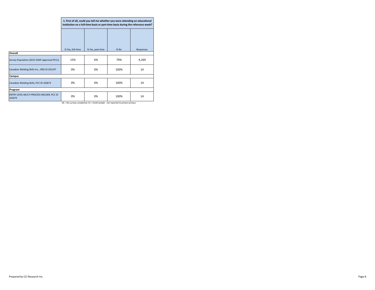|                                                    | 1. First of all, could you tell me whether you were attending an educational<br>institution on a full-time basis or part-time basis during the reference week? |                  |        |           |  |  |  |  |  |  |
|----------------------------------------------------|----------------------------------------------------------------------------------------------------------------------------------------------------------------|------------------|--------|-----------|--|--|--|--|--|--|
|                                                    |                                                                                                                                                                |                  |        |           |  |  |  |  |  |  |
|                                                    | % Yes, full-time                                                                                                                                               | % Yes, part-time | $%$ No | Responses |  |  |  |  |  |  |
| Overall                                            |                                                                                                                                                                |                  |        |           |  |  |  |  |  |  |
| Survey Population (2015 OSAP-approved PCCs)        | 15%                                                                                                                                                            | 6%               | 79%    | 4,269     |  |  |  |  |  |  |
| Canadian Welding Skills Inc., ORG ID 201247        | 0%                                                                                                                                                             | 0%               | 100%   | 14        |  |  |  |  |  |  |
| Campus                                             |                                                                                                                                                                |                  |        |           |  |  |  |  |  |  |
| Canadian Welding Skills, PCC ID 102673             | 0%                                                                                                                                                             | 0%               | 100%   | 14        |  |  |  |  |  |  |
| Program                                            |                                                                                                                                                                |                  |        |           |  |  |  |  |  |  |
| ENTRY LEVEL MULTI PROCESS WELDER, PCC ID<br>102673 | 0%                                                                                                                                                             | 0%               | 100%   | 14        |  |  |  |  |  |  |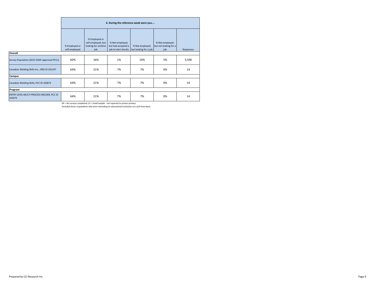|                                                    | 6. During the reference week were you |                                                                   |                                                               |                                          |                                                 |           |  |  |  |  |  |
|----------------------------------------------------|---------------------------------------|-------------------------------------------------------------------|---------------------------------------------------------------|------------------------------------------|-------------------------------------------------|-----------|--|--|--|--|--|
|                                                    | % Employed or<br>self-employed        | % Employed or<br>self-employed, but<br>looking for another<br>job | % Not employed,<br>but had accepted a<br>job to start shortly | % Not employed,<br>but looking for a job | % Not employed,<br>but not looking for a<br>job | Responses |  |  |  |  |  |
| Overall                                            |                                       |                                                                   |                                                               |                                          |                                                 |           |  |  |  |  |  |
| Survey Population (2015 OSAP-approved PCCs)        | 60%                                   | 16%                                                               | 1%                                                            | 19%                                      | 5%                                              | 3,590     |  |  |  |  |  |
| Canadian Welding Skills Inc., ORG ID 201247        | 64%                                   | 21%                                                               | 7%                                                            | 7%                                       | 0%                                              | 14        |  |  |  |  |  |
| Campus                                             |                                       |                                                                   |                                                               |                                          |                                                 |           |  |  |  |  |  |
| Canadian Welding Skills, PCC ID 102673             | 64%                                   | 21%                                                               | 7%                                                            | 7%                                       | 0%                                              | 14        |  |  |  |  |  |
| Program                                            |                                       |                                                                   |                                                               |                                          |                                                 |           |  |  |  |  |  |
| ENTRY LEVEL MULTI PROCESS WELDER, PCC ID<br>102673 | 64%                                   | 21%                                                               | 7%                                                            | 7%                                       | 0%                                              | 14        |  |  |  |  |  |

*Excluded those respondents who were attending an educational institution on a full-time basis.*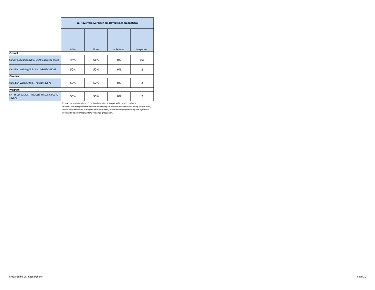|                                                    | 11. Have you ever been employed since graduation? |        |           |                |  |  |  |  |  |  |
|----------------------------------------------------|---------------------------------------------------|--------|-----------|----------------|--|--|--|--|--|--|
|                                                    | % Yes                                             | $%$ No | % Refused | Responses      |  |  |  |  |  |  |
| Overall                                            |                                                   |        |           |                |  |  |  |  |  |  |
| Survey Population (2015 OSAP-approved PCCs)        | 44%                                               | 56%    | 0%        | 853            |  |  |  |  |  |  |
| Canadian Welding Skills Inc., ORG ID 201247        | 50%                                               | 50%    | 0%        | $\overline{2}$ |  |  |  |  |  |  |
| Campus                                             |                                                   |        |           |                |  |  |  |  |  |  |
| Canadian Welding Skills, PCC ID 102673             | 50%                                               | 50%    | 0%        | 2              |  |  |  |  |  |  |
| Program                                            |                                                   |        |           |                |  |  |  |  |  |  |
| ENTRY LEVEL MULTI PROCESS WELDER, PCC ID<br>102673 | 50%                                               | 50%    | 0%        | 2              |  |  |  |  |  |  |

*Excluded those respondents who were attending an educational institution on a full-time basis, NS = No surveys completed; SS = Small sample - not reported to protect privacy or who were employed during the reference week, or were unemployed during the reference week and had never looked for a job since graduation.*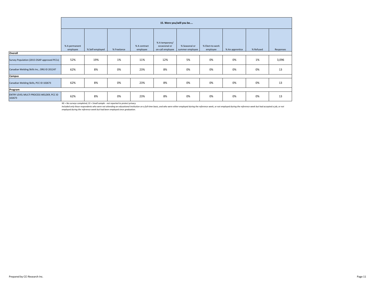|                                                    |                           | 15. Were you/will you be |             |                          |                                                     |                                  |                             |                 |           |           |  |  |  |
|----------------------------------------------------|---------------------------|--------------------------|-------------|--------------------------|-----------------------------------------------------|----------------------------------|-----------------------------|-----------------|-----------|-----------|--|--|--|
|                                                    | % A permanent<br>employee | % Self-employed          | % Freelance | % A contract<br>employee | % A temporary/<br>occasional or<br>on-call employee | % Seasonal or<br>summer employee | % Elect-to-work<br>employee | % An apprentice | % Refused | Responses |  |  |  |
| Overall                                            |                           |                          |             |                          |                                                     |                                  |                             |                 |           |           |  |  |  |
| Survey Population (2015 OSAP-approved PCCs)        | 52%                       | 19%                      | 1%          | 11%                      | 12%                                                 | 5%                               | 0%                          | 0%              | 1%        | 3,096     |  |  |  |
| Canadian Welding Skills Inc., ORG ID 201247        | 62%                       | 8%                       | 0%          | 23%                      | 8%                                                  | 0%                               | 0%                          | 0%              | 0%        | 13        |  |  |  |
| Campus                                             |                           |                          |             |                          |                                                     |                                  |                             |                 |           |           |  |  |  |
| Canadian Welding Skills, PCC ID 102673             | 62%                       | 8%                       | 0%          | 23%                      | 8%                                                  | 0%                               | 0%                          | 0%              | 0%        | 13        |  |  |  |
| Program                                            |                           |                          |             |                          |                                                     |                                  |                             |                 |           |           |  |  |  |
| ENTRY LEVEL MULTI PROCESS WELDER, PCC ID<br>102673 | 62%                       | 8%                       | 0%          | 23%                      | 8%                                                  | 0%                               | 0%                          | 0%              | 0%        | 13        |  |  |  |

Included only those respondents who were not attending an educational institution on a full-time basis, and who were either employed during the reference week, or not employed during the reference week but had accepted a j *employed during the reference week but had been employed since graduation.*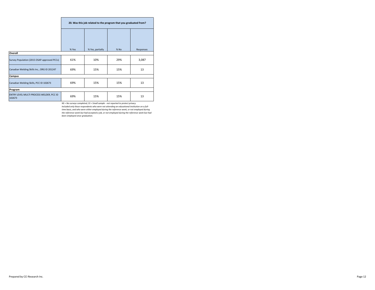|                                                    | 20. Was this job related to the program that you graduated from? |                  |        |           |  |  |  |  |  |  |
|----------------------------------------------------|------------------------------------------------------------------|------------------|--------|-----------|--|--|--|--|--|--|
|                                                    |                                                                  |                  |        |           |  |  |  |  |  |  |
|                                                    | % Yes                                                            | % Yes, partially | $%$ No | Responses |  |  |  |  |  |  |
| Overall                                            |                                                                  |                  |        |           |  |  |  |  |  |  |
| Survey Population (2015 OSAP-approved PCCs)        | 61%                                                              | 10%              | 29%    | 3,087     |  |  |  |  |  |  |
| Canadian Welding Skills Inc., ORG ID 201247        | 69%                                                              | 15%              | 15%    | 13        |  |  |  |  |  |  |
| Campus                                             |                                                                  |                  |        |           |  |  |  |  |  |  |
| Canadian Welding Skills, PCC ID 102673             | 69%                                                              | 15%              | 15%    | 13        |  |  |  |  |  |  |
| Program                                            |                                                                  |                  |        |           |  |  |  |  |  |  |
| ENTRY LEVEL MULTI PROCESS WELDER, PCC ID<br>102673 | 69%                                                              | 15%              | 15%    | 13        |  |  |  |  |  |  |

*Included only those respondents who were not attending an educational institution on a full-NS = No surveys completed; SS = Small sample - not reported to protect privacy time basis, and who were either employed during the reference week, or not employed during the reference week but had accepted a job, or not employed during the reference week but had been employed since graduation.*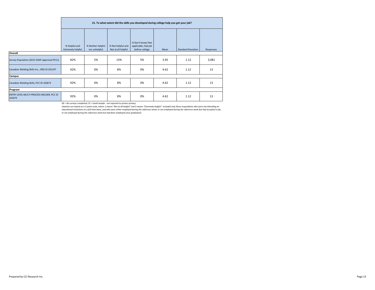|                                                    |                                           | 21. To what extent did the skills you developed during college help you get your job? |                                         |                                                            |      |                           |           |  |  |  |  |  |  |
|----------------------------------------------------|-------------------------------------------|---------------------------------------------------------------------------------------|-----------------------------------------|------------------------------------------------------------|------|---------------------------|-----------|--|--|--|--|--|--|
|                                                    | % Helpful and<br><b>Extremely helpful</b> | % Neither helpful<br>nor unhelpful                                                    | % Not helpful and<br>Not at all helpful | % Don't know/ Not<br>applicable, had job<br>before college | Mean | <b>Standard Deviation</b> | Responses |  |  |  |  |  |  |
| Overall                                            |                                           |                                                                                       |                                         |                                                            |      |                           |           |  |  |  |  |  |  |
| Survey Population (2015 OSAP-approved PCCs)        | 82%                                       | 5%                                                                                    | 13%                                     | 5%                                                         | 3.95 | 1.12                      | 3,081     |  |  |  |  |  |  |
| Canadian Welding Skills Inc., ORG ID 201247        | 92%                                       | 0%                                                                                    | 8%                                      | 0%                                                         | 4.62 | 1.12                      | 13        |  |  |  |  |  |  |
| Campus                                             |                                           |                                                                                       |                                         |                                                            |      |                           |           |  |  |  |  |  |  |
| Canadian Welding Skills, PCC ID 102673             | 92%                                       | 0%                                                                                    | 8%                                      | 0%                                                         | 4.62 | 1.12                      | 13        |  |  |  |  |  |  |
| Program                                            |                                           |                                                                                       |                                         |                                                            |      |                           |           |  |  |  |  |  |  |
| ENTRY LEVEL MULTI PROCESS WELDER, PCC ID<br>102673 | 92%                                       | 0%                                                                                    | 8%                                      | 0%                                                         | 4.62 | 1.12                      | 13        |  |  |  |  |  |  |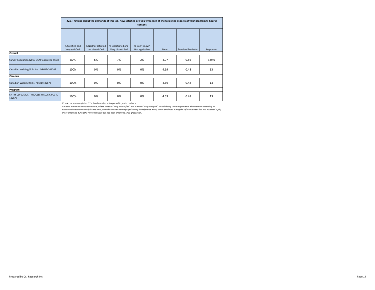|                                                    |                                   | 22a. Thinking about the demands of this job, how satisfied are you with each of the following aspects of your program?: Course<br>content |                                         |                                 |      |                           |       |  |  |  |  |  |
|----------------------------------------------------|-----------------------------------|-------------------------------------------------------------------------------------------------------------------------------------------|-----------------------------------------|---------------------------------|------|---------------------------|-------|--|--|--|--|--|
|                                                    |                                   |                                                                                                                                           |                                         |                                 |      |                           |       |  |  |  |  |  |
|                                                    | % Satisfied and<br>Very satisfied | % Neither satisfied<br>nor dissatisfied                                                                                                   | % Dissatisfied and<br>Very dissatisfied | % Don't know/<br>Not applicable | Mean | <b>Standard Deviation</b> |       |  |  |  |  |  |
| Overall                                            | Responses                         |                                                                                                                                           |                                         |                                 |      |                           |       |  |  |  |  |  |
| Survey Population (2015 OSAP-approved PCCs)        | 87%                               | 6%                                                                                                                                        | 7%                                      | 2%                              | 4.07 | 0.86                      | 3,046 |  |  |  |  |  |
| Canadian Welding Skills Inc., ORG ID 201247        | 100%                              | 0%                                                                                                                                        | 0%                                      | 0%                              | 4.69 | 0.48                      | 13    |  |  |  |  |  |
| Campus                                             |                                   |                                                                                                                                           |                                         |                                 |      |                           |       |  |  |  |  |  |
| Canadian Welding Skills, PCC ID 102673             | 100%                              | 0%                                                                                                                                        | 0%                                      | 0%                              | 4.69 | 0.48                      | 13    |  |  |  |  |  |
| Program                                            |                                   |                                                                                                                                           |                                         |                                 |      |                           |       |  |  |  |  |  |
| ENTRY LEVEL MULTI PROCESS WELDER, PCC ID<br>102673 | 100%                              | 0%                                                                                                                                        | 0%                                      | 0%                              | 4.69 | 0.48                      | 13    |  |  |  |  |  |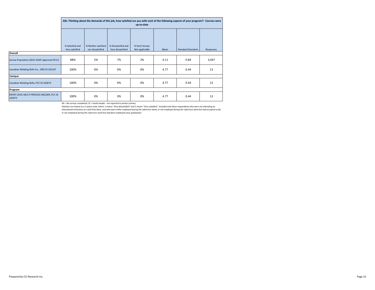|                                                    |                                   | 22b. Thinking about the demands of this job, how satisfied are you with each of the following aspects of your program?: Courses were<br>up-to-date |                                         |                                 |      |                           |           |  |  |  |  |  |
|----------------------------------------------------|-----------------------------------|----------------------------------------------------------------------------------------------------------------------------------------------------|-----------------------------------------|---------------------------------|------|---------------------------|-----------|--|--|--|--|--|
|                                                    |                                   |                                                                                                                                                    |                                         |                                 |      |                           |           |  |  |  |  |  |
|                                                    | % Satisfied and<br>Very satisfied | % Neither satisfied<br>nor dissatisfied                                                                                                            | % Dissatisfied and<br>Very dissatisfied | % Don't know/<br>Not applicable | Mean | <b>Standard Deviation</b> | Responses |  |  |  |  |  |
| Overall                                            |                                   |                                                                                                                                                    |                                         |                                 |      |                           |           |  |  |  |  |  |
| Survey Population (2015 OSAP-approved PCCs)        | 88%                               | 5%                                                                                                                                                 | 7%                                      | 2%                              | 4.11 | 0.84                      | 3,047     |  |  |  |  |  |
| Canadian Welding Skills Inc., ORG ID 201247        | 100%                              | 0%                                                                                                                                                 | 0%                                      | 0%                              | 4.77 | 0.44                      | 13        |  |  |  |  |  |
| Campus                                             |                                   |                                                                                                                                                    |                                         |                                 |      |                           |           |  |  |  |  |  |
| Canadian Welding Skills, PCC ID 102673             | 100%                              | 0%                                                                                                                                                 | 0%                                      | 0%                              | 4.77 | 0.44                      | 13        |  |  |  |  |  |
| Program                                            |                                   |                                                                                                                                                    |                                         |                                 |      |                           |           |  |  |  |  |  |
| ENTRY LEVEL MULTI PROCESS WELDER, PCC ID<br>102673 | 100%                              | 0%                                                                                                                                                 | 0%                                      | 0%                              | 4.77 | 0.44                      | 13        |  |  |  |  |  |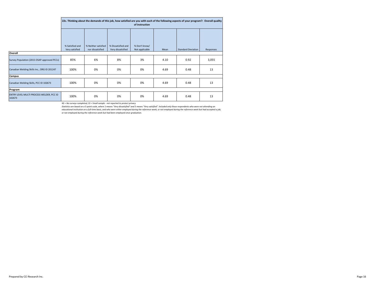|                                                    |                                   | 22c. Thinking about the demands of this job, how satisfied are you with each of the following aspects of your program?: Overall quality<br>of instruction |                                         |                                 |      |                           |           |  |  |  |  |  |
|----------------------------------------------------|-----------------------------------|-----------------------------------------------------------------------------------------------------------------------------------------------------------|-----------------------------------------|---------------------------------|------|---------------------------|-----------|--|--|--|--|--|
|                                                    |                                   |                                                                                                                                                           |                                         |                                 |      |                           |           |  |  |  |  |  |
|                                                    | % Satisfied and<br>Very satisfied | % Neither satisfied<br>nor dissatisfied                                                                                                                   | % Dissatisfied and<br>Very dissatisfied | % Don't know/<br>Not applicable | Mean | <b>Standard Deviation</b> | Responses |  |  |  |  |  |
| Overall                                            |                                   |                                                                                                                                                           |                                         |                                 |      |                           |           |  |  |  |  |  |
| Survey Population (2015 OSAP-approved PCCs)        | 85%                               | 6%                                                                                                                                                        | 8%                                      | 3%                              | 4.10 | 0.92                      | 3,055     |  |  |  |  |  |
| Canadian Welding Skills Inc., ORG ID 201247        | 100%                              | 0%                                                                                                                                                        | 0%                                      | 0%                              | 4.69 | 0.48                      | 13        |  |  |  |  |  |
| Campus                                             |                                   |                                                                                                                                                           |                                         |                                 |      |                           |           |  |  |  |  |  |
| Canadian Welding Skills, PCC ID 102673             | 100%                              | 0%                                                                                                                                                        | 0%                                      | 0%                              | 4.69 | 0.48                      | 13        |  |  |  |  |  |
| Program                                            |                                   |                                                                                                                                                           |                                         |                                 |      |                           |           |  |  |  |  |  |
| ENTRY LEVEL MULTI PROCESS WELDER, PCC ID<br>102673 | 100%                              | 0%                                                                                                                                                        | 0%                                      | 0%                              | 4.69 | 0.48                      | 13        |  |  |  |  |  |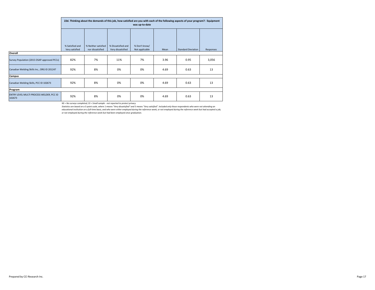|                                                    |                                   | 22d. Thinking about the demands of this job, how satisfied are you with each of the following aspects of your program?: Equipment<br>was up-to-date |                                         |                                 |      |                           |           |  |  |  |  |  |
|----------------------------------------------------|-----------------------------------|-----------------------------------------------------------------------------------------------------------------------------------------------------|-----------------------------------------|---------------------------------|------|---------------------------|-----------|--|--|--|--|--|
|                                                    |                                   |                                                                                                                                                     |                                         |                                 |      |                           |           |  |  |  |  |  |
|                                                    | % Satisfied and<br>Very satisfied | % Neither satisfied<br>nor dissatisfied                                                                                                             | % Dissatisfied and<br>Very dissatisfied | % Don't know/<br>Not applicable | Mean | <b>Standard Deviation</b> | Responses |  |  |  |  |  |
| Overall                                            |                                   |                                                                                                                                                     |                                         |                                 |      |                           |           |  |  |  |  |  |
| Survey Population (2015 OSAP-approved PCCs)        | 82%                               | 7%                                                                                                                                                  | 11%                                     | 7%                              | 3.96 | 0.95                      | 3,056     |  |  |  |  |  |
| Canadian Welding Skills Inc., ORG ID 201247        | 92%                               | 8%                                                                                                                                                  | 0%                                      | 0%                              | 4.69 | 0.63                      | 13        |  |  |  |  |  |
| Campus                                             |                                   |                                                                                                                                                     |                                         |                                 |      |                           |           |  |  |  |  |  |
| Canadian Welding Skills, PCC ID 102673             | 92%                               | 8%                                                                                                                                                  | 0%                                      | 0%                              | 4.69 | 0.63                      | 13        |  |  |  |  |  |
| Program                                            |                                   |                                                                                                                                                     |                                         |                                 |      |                           |           |  |  |  |  |  |
| ENTRY LEVEL MULTI PROCESS WELDER, PCC ID<br>102673 | 92%                               | 8%                                                                                                                                                  | 0%                                      | 0%                              | 4.69 | 0.63                      | 13        |  |  |  |  |  |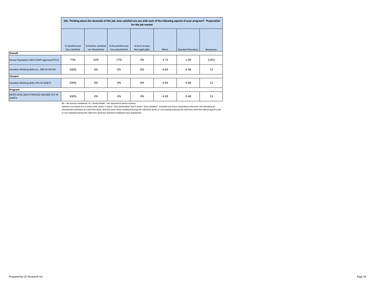|                                                    |                                   | 22e. Thinking about the demands of this job, how satisfied are you with each of the following aspects of your program?: Preparation<br>for the job market |                                         |                                 |      |                           |           |  |  |  |  |  |  |
|----------------------------------------------------|-----------------------------------|-----------------------------------------------------------------------------------------------------------------------------------------------------------|-----------------------------------------|---------------------------------|------|---------------------------|-----------|--|--|--|--|--|--|
|                                                    |                                   |                                                                                                                                                           |                                         |                                 |      |                           |           |  |  |  |  |  |  |
|                                                    | % Satisfied and<br>Very satisfied | % Neither satisfied<br>nor dissatisfied                                                                                                                   | % Dissatisfied and<br>Very dissatisfied | % Don't know/<br>Not applicable | Mean | <b>Standard Deviation</b> | Responses |  |  |  |  |  |  |
| Overall                                            |                                   |                                                                                                                                                           |                                         |                                 |      |                           |           |  |  |  |  |  |  |
| Survey Population (2015 OSAP-approved PCCs)        | 73%                               | 10%                                                                                                                                                       | 17%                                     | 4%                              | 3.72 | 1.08                      | 3,052     |  |  |  |  |  |  |
| Canadian Welding Skills Inc., ORG ID 201247        | 100%                              | 0%                                                                                                                                                        | 0%                                      | 0%                              | 4.69 | 0.48                      | 13        |  |  |  |  |  |  |
| Campus                                             |                                   |                                                                                                                                                           |                                         |                                 |      |                           |           |  |  |  |  |  |  |
| Canadian Welding Skills, PCC ID 102673             | 100%                              | 0%                                                                                                                                                        | 0%                                      | 0%                              | 4.69 | 0.48                      | 13        |  |  |  |  |  |  |
| Program                                            |                                   |                                                                                                                                                           |                                         |                                 |      |                           |           |  |  |  |  |  |  |
| ENTRY LEVEL MULTI PROCESS WELDER, PCC ID<br>102673 | 100%                              | 0%                                                                                                                                                        | 0%                                      | 0%                              | 4.69 | 0.48                      | 13        |  |  |  |  |  |  |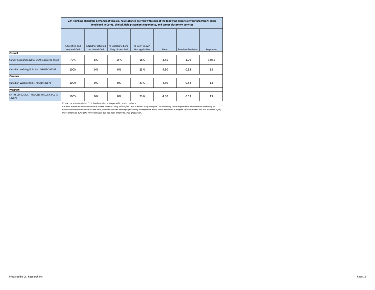|                                                    |                                   | 22f. Thinking about the demands of this job, how satisfied are you with each of the following aspects of your program?: Skills<br>developed in Co-op, clinical, field placement experience, and career placement services |                                         |                                 |      |                           |           |  |  |  |  |  |  |
|----------------------------------------------------|-----------------------------------|---------------------------------------------------------------------------------------------------------------------------------------------------------------------------------------------------------------------------|-----------------------------------------|---------------------------------|------|---------------------------|-----------|--|--|--|--|--|--|
|                                                    |                                   |                                                                                                                                                                                                                           |                                         |                                 |      |                           |           |  |  |  |  |  |  |
|                                                    | % Satisfied and<br>Very satisfied | % Neither satisfied<br>nor dissatisfied                                                                                                                                                                                   | % Dissatisfied and<br>Very dissatisfied | % Don't know/<br>Not applicable | Mean | <b>Standard Deviation</b> | Responses |  |  |  |  |  |  |
| Overall                                            |                                   |                                                                                                                                                                                                                           |                                         |                                 |      |                           |           |  |  |  |  |  |  |
| Survey Population (2015 OSAP-approved PCCs)        | 77%                               | 8%                                                                                                                                                                                                                        | 15%                                     | 18%                             | 3.85 | 1.06                      | 3,051     |  |  |  |  |  |  |
| Canadian Welding Skills Inc., ORG ID 201247        | 100%                              | 0%                                                                                                                                                                                                                        | 0%                                      | 23%                             | 4.50 | 0.53                      | 13        |  |  |  |  |  |  |
| Campus                                             |                                   |                                                                                                                                                                                                                           |                                         |                                 |      |                           |           |  |  |  |  |  |  |
| Canadian Welding Skills, PCC ID 102673             | 100%                              | 0%                                                                                                                                                                                                                        | 0%                                      | 23%                             | 4.50 | 0.53                      | 13        |  |  |  |  |  |  |
| Program                                            |                                   |                                                                                                                                                                                                                           |                                         |                                 |      |                           |           |  |  |  |  |  |  |
| ENTRY LEVEL MULTI PROCESS WELDER, PCC ID<br>102673 | 100%                              | 0%                                                                                                                                                                                                                        | 0%                                      | 23%                             | 4.50 | 0.53                      | 13        |  |  |  |  |  |  |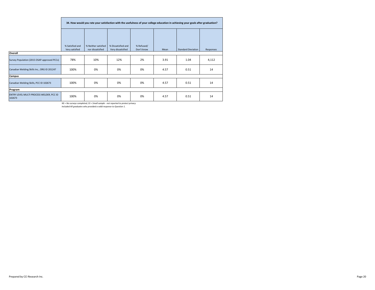|                                                    |                 | 34. How would you rate your satisfaction with the usefulness of your college education in achieving your goals after graduation? |                    |            |      |                           |           |  |  |  |  |  |  |
|----------------------------------------------------|-----------------|----------------------------------------------------------------------------------------------------------------------------------|--------------------|------------|------|---------------------------|-----------|--|--|--|--|--|--|
|                                                    |                 |                                                                                                                                  |                    |            |      |                           |           |  |  |  |  |  |  |
|                                                    | % Satisfied and | % Neither satisfied                                                                                                              | % Dissatisfied and | % Refused/ |      |                           |           |  |  |  |  |  |  |
|                                                    | Very satisfied  | nor dissatisfied                                                                                                                 | Very dissatisfied  | Don't know | Mean | <b>Standard Deviation</b> | Responses |  |  |  |  |  |  |
| Overall                                            |                 |                                                                                                                                  |                    |            |      |                           |           |  |  |  |  |  |  |
| Survey Population (2015 OSAP-approved PCCs)        | 78%             | 10%                                                                                                                              | 12%                | 2%         | 3.91 | 1.04                      | 4,112     |  |  |  |  |  |  |
| Canadian Welding Skills Inc., ORG ID 201247        | 100%            | 0%                                                                                                                               | 0%                 | 0%         | 4.57 | 0.51                      | 14        |  |  |  |  |  |  |
| Campus                                             |                 |                                                                                                                                  |                    |            |      |                           |           |  |  |  |  |  |  |
| Canadian Welding Skills, PCC ID 102673             | 100%            | 0%                                                                                                                               | 0%                 | 0%         | 4.57 | 0.51                      | 14        |  |  |  |  |  |  |
| Program                                            |                 |                                                                                                                                  |                    |            |      |                           |           |  |  |  |  |  |  |
| ENTRY LEVEL MULTI PROCESS WELDER, PCC ID<br>102673 | 100%            | 0%                                                                                                                               | 0%                 | 0%         | 4.57 | 0.51                      | 14        |  |  |  |  |  |  |

*Included All graduates who provided a valid response to Question 1.*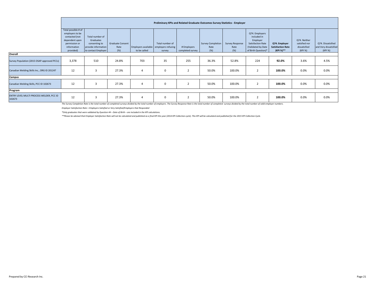|                                                    |                     | Preliminary KPIs and Related Graduate Outcomes Survey Statistics - Employer |                         |                                        |                 |                  |                          |                 |                          |                          |               |                       |  |
|----------------------------------------------------|---------------------|-----------------------------------------------------------------------------|-------------------------|----------------------------------------|-----------------|------------------|--------------------------|-----------------|--------------------------|--------------------------|---------------|-----------------------|--|
|                                                    | Total possible # of |                                                                             |                         |                                        |                 |                  |                          |                 |                          |                          |               |                       |  |
|                                                    | employers to be     |                                                                             |                         |                                        |                 |                  |                          |                 | Q74. Employers           |                          |               |                       |  |
|                                                    | contacted (not      | Total number of                                                             |                         |                                        |                 |                  |                          |                 | included in              |                          |               |                       |  |
|                                                    | dependent upon      | Graduates                                                                   |                         |                                        |                 |                  |                          |                 | Employer                 |                          | Q74. Neither  |                       |  |
|                                                    | permission or       | consenting to                                                               | <b>Graduate Consent</b> |                                        | Total number of |                  | <b>Survey Completion</b> | Survey Response | <b>Satisfaction Rate</b> | Q74. Employer            | satisfied nor | Q74. Dissatisfied     |  |
|                                                    | information         | provide information                                                         | Rate                    | Employers available employers refusing |                 | # Employers      | Rate                     | Rate            | (Validated by Date       | <b>Satisfaction Rate</b> | dissatisfied  | and Very dissatisfied |  |
|                                                    | provided)           | to contact Employer                                                         | (%)                     | to be called                           | survey          | completed survey | (% )                     | (%)             | of Birth Question)*      | (KPI %)**                | (KPI %)       | (KPI %)               |  |
| Overall                                            |                     |                                                                             |                         |                                        |                 |                  |                          |                 |                          |                          |               |                       |  |
| Survey Population (2015 OSAP-approved PCCs)        | 3,378               | 510                                                                         | 24.8%                   | 703                                    | 35              | 255              | 36.3%                    | 52.8%           | 224                      | 92.0%                    | 3.6%          | 4.5%                  |  |
| Canadian Welding Skills Inc., ORG ID 201247        | 12                  | 3                                                                           | 27.3%                   | 4                                      | $\mathbf 0$     | $\overline{2}$   | 50.0%                    | 100.0%          | 2                        | 100.0%                   | 0.0%          | 0.0%                  |  |
| Campus                                             |                     |                                                                             |                         |                                        |                 |                  |                          |                 |                          |                          |               |                       |  |
| Canadian Welding Skills, PCC ID 102673             | 12                  | 3                                                                           | 27.3%                   | 4                                      | $^{\circ}$      | $\overline{2}$   | 50.0%                    | 100.0%          | 2                        | 100.0%                   | 0.0%          | 0.0%                  |  |
| Program                                            |                     |                                                                             |                         |                                        |                 |                  |                          |                 |                          |                          |               |                       |  |
| ENTRY LEVEL MULTI PROCESS WELDER, PCC ID<br>102673 | 12                  | 3                                                                           | 27.3%                   | 4                                      | $\mathbf 0$     | $\overline{2}$   | 50.0%                    | 100.0%          | 2                        | 100.0%                   | 0.0%          | 0.0%                  |  |

The Survey Completion Rate is the total number of completed surveys divided by the total number of employers. The Survey Response Rate is the total number of completed surveys divided by the total number of valid employer

*Employer Satisfaction Rate = Employers Satisfied or Very Satisfied/Employers that Responded*

*\*Only graduates that were validated by Question 44 – Date of Birth – are included in the KPI calculations.*

\*\*Please be advised that Employer Satisfaction Rate will not be calculated and published as a final KPI this year (2014 KPI Collection cycle). This KPI will be calculated and published for the 2015 KPI Collection Cycle.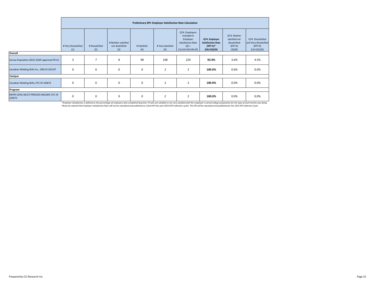|                                                    |                            | Preliminary KPI: Employer Satisfaction Rate Calculation |                                               |                    |                         |                                                                                                           |                                                                          |                                                                     |                                                                          |  |  |  |  |
|----------------------------------------------------|----------------------------|---------------------------------------------------------|-----------------------------------------------|--------------------|-------------------------|-----------------------------------------------------------------------------------------------------------|--------------------------------------------------------------------------|---------------------------------------------------------------------|--------------------------------------------------------------------------|--|--|--|--|
|                                                    | # Very Dissatisfied<br>(1) | # Dissatisfied<br>(2)                                   | # Neither satisfied<br>nor disatisfied<br>(3) | # Satisfied<br>(4) | # Very Satisfied<br>(5) | Q74. Employers<br>included in<br>Employer<br><b>Satisfaction Rate</b><br>$(6) =$<br>$(1)+(2)+(3)+(4)+(5)$ | Q74. Employer<br><b>Satisfaction Rate</b><br>(KPI %)*<br>$((4)+(5))/(6)$ | Q74. Neither<br>satisfied nor<br>dissatisfied<br>(KPI %)<br>(3)/(6) | Q74. Dissatisfied<br>and Very dissatisfied<br>(KPI %)<br>$((1)+(2))/(6)$ |  |  |  |  |
| Overall                                            |                            |                                                         |                                               |                    |                         |                                                                                                           |                                                                          |                                                                     |                                                                          |  |  |  |  |
| Survey Population (2015 OSAP-approved PCCs)        | 3                          | $\overline{7}$                                          | 8                                             | 98                 | 108                     | 224                                                                                                       | 92.0%                                                                    | 3.6%                                                                | 4.5%                                                                     |  |  |  |  |
| Canadian Welding Skills Inc., ORG ID 201247        | 0                          | 0                                                       | $\mathbf 0$                                   | $\mathbf 0$        | $\overline{2}$          | $\overline{2}$                                                                                            | 100.0%                                                                   | 0.0%                                                                | 0.0%                                                                     |  |  |  |  |
| Campus                                             |                            |                                                         |                                               |                    |                         |                                                                                                           |                                                                          |                                                                     |                                                                          |  |  |  |  |
| Canadian Welding Skills, PCC ID 102673             | 0                          | 0                                                       | $\mathbf 0$                                   | $\mathbf 0$        | $\overline{2}$          | $\overline{2}$                                                                                            | 100.0%                                                                   | 0.0%                                                                | 0.0%                                                                     |  |  |  |  |
| Program                                            |                            |                                                         |                                               |                    |                         |                                                                                                           |                                                                          |                                                                     |                                                                          |  |  |  |  |
| ENTRY LEVEL MULTI PROCESS WELDER, PCC ID<br>102673 | $\mathbf 0$                | 0                                                       | $\mathbf 0$                                   | $\mathbf 0$        | $\overline{2}$          | $\overline{2}$                                                                                            | 100.0%                                                                   | 0.0%                                                                | 0.0%                                                                     |  |  |  |  |

\*Employer Satisfaction is defined as the percentage of employers who completed Question 74 who are satisfied or are very satisfied with the employee's overall college preparation for the type of work he/she was doing.<br>Plea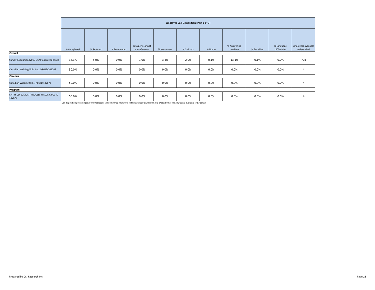|                                                    | <b>Employer Call Disposition (Part 1 of 3)</b> |           |              |                                 |             |            |          |                        |             |                            |                                     |  |
|----------------------------------------------------|------------------------------------------------|-----------|--------------|---------------------------------|-------------|------------|----------|------------------------|-------------|----------------------------|-------------------------------------|--|
|                                                    | % Completed                                    | % Refused | % Terminated | % Supervisor not<br>there/known | % No answer | % Callback | % Not in | % Answering<br>machine | % Busy line | % Language<br>difficulties | Employers available<br>to be called |  |
| Overall                                            |                                                |           |              |                                 |             |            |          |                        |             |                            |                                     |  |
| Survey Population (2015 OSAP-approved PCCs)        | 36.3%                                          | 5.0%      | 0.9%         | 1.0%                            | 3.4%        | 2.0%       | 0.1%     | 13.1%                  | 0.1%        | 0.0%                       | 703                                 |  |
| Canadian Welding Skills Inc., ORG ID 201247        | 50.0%                                          | 0.0%      | 0.0%         | 0.0%                            | $0.0\%$     | 0.0%       | 0.0%     | 0.0%                   | 0.0%        | 0.0%                       |                                     |  |
| Campus                                             |                                                |           |              |                                 |             |            |          |                        |             |                            |                                     |  |
| Canadian Welding Skills, PCC ID 102673             | 50.0%                                          | 0.0%      | 0.0%         | 0.0%                            | 0.0%        | 0.0%       | 0.0%     | 0.0%                   | 0.0%        | 0.0%                       |                                     |  |
| Program                                            |                                                |           |              |                                 |             |            |          |                        |             |                            |                                     |  |
| ENTRY LEVEL MULTI PROCESS WELDER, PCC ID<br>102673 | 50.0%                                          | 0.0%      | 0.0%         | 0.0%                            | 0.0%        | 0.0%       | 0.0%     | 0.0%                   | 0.0%        | 0.0%                       |                                     |  |

*Call disposition percentages shown represent the number of employers within each call disposition as a proportion of the employers available to be called.*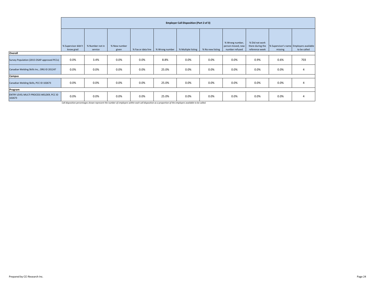|                                                    |                                  | <b>Employer Call Disposition (Part 2 of 3)</b> |                       |      |                                   |                    |                  |                                                        |                                                      |                                                    |              |  |  |
|----------------------------------------------------|----------------------------------|------------------------------------------------|-----------------------|------|-----------------------------------|--------------------|------------------|--------------------------------------------------------|------------------------------------------------------|----------------------------------------------------|--------------|--|--|
|                                                    | % Supervisor didn't<br>know grad | % Number not in<br>service                     | % New number<br>given |      | % Fax or data line % Wrong number | % Multiple listing | % No new listing | % Wrong number,<br>person moved, new<br>number refused | % Did not work<br>there during the<br>reference week | % Supervisor's name Employers available<br>missing | to be called |  |  |
| Overall                                            |                                  |                                                |                       |      |                                   |                    |                  |                                                        |                                                      |                                                    |              |  |  |
| Survey Population (2015 OSAP-approved PCCs)        | 0.0%                             | 3.4%                                           | 0.0%                  | 0.0% | 8.8%                              | 0.0%               | 0.0%             | 0.0%                                                   | 0.9%                                                 | 0.6%                                               | 703          |  |  |
| Canadian Welding Skills Inc., ORG ID 201247        | 0.0%                             | 0.0%                                           | 0.0%                  | 0.0% | 25.0%                             | 0.0%               | 0.0%             | 0.0%                                                   | 0.0%                                                 | 0.0%                                               |              |  |  |
| Campus                                             |                                  |                                                |                       |      |                                   |                    |                  |                                                        |                                                      |                                                    |              |  |  |
| Canadian Welding Skills, PCC ID 102673             | 0.0%                             | 0.0%                                           | 0.0%                  | 0.0% | 25.0%                             | 0.0%               | 0.0%             | 0.0%                                                   | 0.0%                                                 | 0.0%                                               | 4            |  |  |
| Program                                            |                                  |                                                |                       |      |                                   |                    |                  |                                                        |                                                      |                                                    |              |  |  |
| ENTRY LEVEL MULTI PROCESS WELDER, PCC ID<br>102673 | 0.0%                             | 0.0%                                           | 0.0%                  | 0.0% | 25.0%                             | 0.0%               | 0.0%             | 0.0%                                                   | 0.0%                                                 | 0.0%                                               |              |  |  |

*Call disposition percentages shown represent the number of employers within each call disposition as a proportion of the employers available to be called.*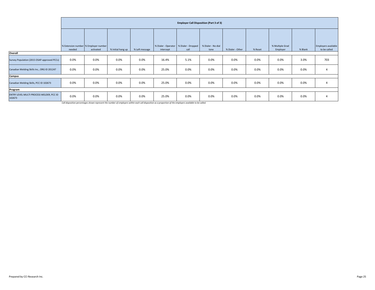|                                                    | <b>Employer Call Disposition (Part 3 of 3)</b> |           |                   |                |           |                                                  |                            |                  |         |                             |         |                                     |
|----------------------------------------------------|------------------------------------------------|-----------|-------------------|----------------|-----------|--------------------------------------------------|----------------------------|------------------|---------|-----------------------------|---------|-------------------------------------|
|                                                    | % Extension number % Employer number<br>needed | activated | % Initial hang up | % Left message | intercept | % Dialer - Operator   % Dialer - Dropped<br>call | % Dialer - No dial<br>tone | % Dialer - Other | % Reset | % Multiple Grad<br>Employer | % Blank | Employers available<br>to be called |
| Overall                                            |                                                |           |                   |                |           |                                                  |                            |                  |         |                             |         |                                     |
| Survey Population (2015 OSAP-approved PCCs)        | 0.0%                                           | 0.0%      | 0.0%              | 0.0%           | 16.4%     | 5.1%                                             | 0.0%                       | 0.0%             | 0.0%    | 0.0%                        | 3.0%    | 703                                 |
| Canadian Welding Skills Inc., ORG ID 201247        | 0.0%                                           | 0.0%      | 0.0%              | 0.0%           | 25.0%     | 0.0%                                             | 0.0%                       | 0.0%             | 0.0%    | 0.0%                        | 0.0%    | 4                                   |
| <b>Campus</b>                                      |                                                |           |                   |                |           |                                                  |                            |                  |         |                             |         |                                     |
| Canadian Welding Skills, PCC ID 102673             | 0.0%                                           | 0.0%      | 0.0%              | 0.0%           | 25.0%     | 0.0%                                             | 0.0%                       | 0.0%             | 0.0%    | 0.0%                        | 0.0%    | 4                                   |
| Program                                            |                                                |           |                   |                |           |                                                  |                            |                  |         |                             |         |                                     |
| ENTRY LEVEL MULTI PROCESS WELDER, PCC ID<br>102673 | 0.0%                                           | 0.0%      | 0.0%              | 0.0%           | 25.0%     | 0.0%                                             | 0.0%                       | 0.0%             | 0.0%    | 0.0%                        | 0.0%    | 4                                   |

*Call disposition percentages shown represent the number of employers within each call disposition as a proportion of the employers available to be called.*